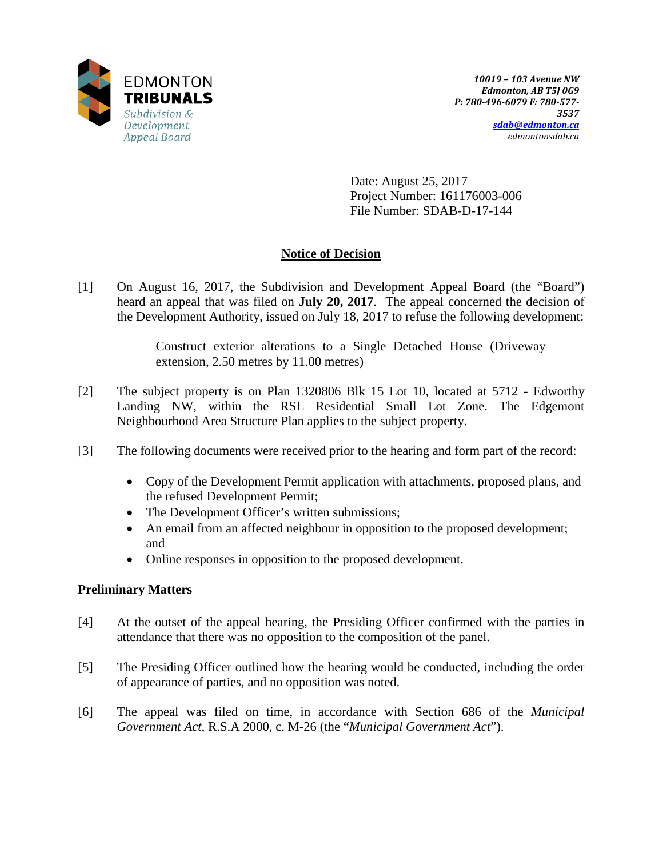

Date: August 25, 2017 Project Number: 161176003-006 File Number: SDAB-D-17-144

# **Notice of Decision**

[1] On August 16, 2017, the Subdivision and Development Appeal Board (the "Board") heard an appeal that was filed on **July 20, 2017**. The appeal concerned the decision of the Development Authority, issued on July 18, 2017 to refuse the following development:

> Construct exterior alterations to a Single Detached House (Driveway extension, 2.50 metres by 11.00 metres)

- [2] The subject property is on Plan 1320806 Blk 15 Lot 10, located at 5712 Edworthy Landing NW, within the RSL Residential Small Lot Zone. The Edgemont Neighbourhood Area Structure Plan applies to the subject property.
- [3] The following documents were received prior to the hearing and form part of the record:
	- Copy of the Development Permit application with attachments, proposed plans, and the refused Development Permit;
	- The Development Officer's written submissions;
	- An email from an affected neighbour in opposition to the proposed development; and
	- Online responses in opposition to the proposed development.

### **Preliminary Matters**

- [4] At the outset of the appeal hearing, the Presiding Officer confirmed with the parties in attendance that there was no opposition to the composition of the panel.
- [5] The Presiding Officer outlined how the hearing would be conducted, including the order of appearance of parties, and no opposition was noted.
- [6] The appeal was filed on time, in accordance with Section 686 of the *Municipal Government Act*, R.S.A 2000, c. M-26 (the "*Municipal Government Act*").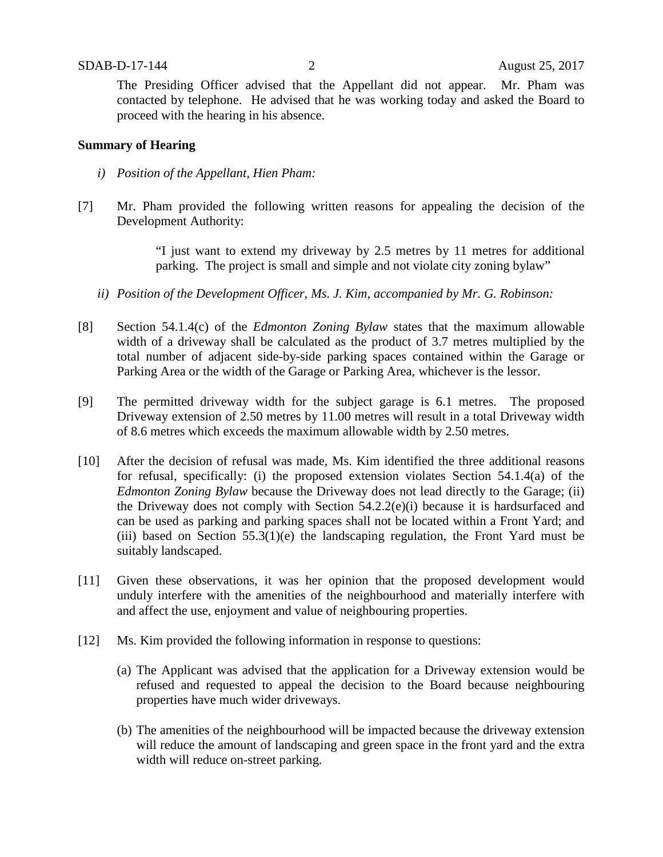The Presiding Officer advised that the Appellant did not appear. Mr. Pham was contacted by telephone. He advised that he was working today and asked the Board to proceed with the hearing in his absence.

#### **Summary of Hearing**

- *i) Position of the Appellant, Hien Pham:*
- [7] Mr. Pham provided the following written reasons for appealing the decision of the Development Authority:

"I just want to extend my driveway by 2.5 metres by 11 metres for additional parking. The project is small and simple and not violate city zoning bylaw"

- *ii) Position of the Development Officer, Ms. J. Kim, accompanied by Mr. G. Robinson:*
- [8] Section 54.1.4(c) of the *Edmonton Zoning Bylaw* states that the maximum allowable width of a driveway shall be calculated as the product of 3.7 metres multiplied by the total number of adjacent side-by-side parking spaces contained within the Garage or Parking Area or the width of the Garage or Parking Area, whichever is the lessor.
- [9] The permitted driveway width for the subject garage is 6.1 metres. The proposed Driveway extension of 2.50 metres by 11.00 metres will result in a total Driveway width of 8.6 metres which exceeds the maximum allowable width by 2.50 metres.
- [10] After the decision of refusal was made, Ms. Kim identified the three additional reasons for refusal, specifically: (i) the proposed extension violates Section 54.1.4(a) of the *Edmonton Zoning Bylaw* because the Driveway does not lead directly to the Garage; (ii) the Driveway does not comply with Section 54.2.2(e)(i) because it is hardsurfaced and can be used as parking and parking spaces shall not be located within a Front Yard; and (iii) based on Section 55.3(1)(e) the landscaping regulation, the Front Yard must be suitably landscaped.
- [11] Given these observations, it was her opinion that the proposed development would unduly interfere with the amenities of the neighbourhood and materially interfere with and affect the use, enjoyment and value of neighbouring properties.
- [12] Ms. Kim provided the following information in response to questions:
	- (a) The Applicant was advised that the application for a Driveway extension would be refused and requested to appeal the decision to the Board because neighbouring properties have much wider driveways.
	- (b) The amenities of the neighbourhood will be impacted because the driveway extension will reduce the amount of landscaping and green space in the front yard and the extra width will reduce on-street parking.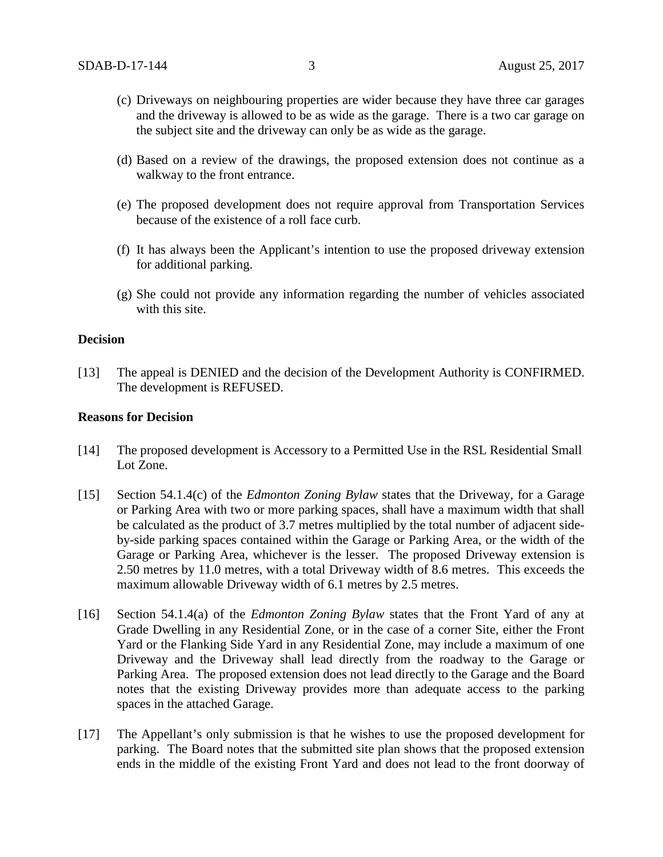- (c) Driveways on neighbouring properties are wider because they have three car garages and the driveway is allowed to be as wide as the garage. There is a two car garage on the subject site and the driveway can only be as wide as the garage.
- (d) Based on a review of the drawings, the proposed extension does not continue as a walkway to the front entrance.
- (e) The proposed development does not require approval from Transportation Services because of the existence of a roll face curb.
- (f) It has always been the Applicant's intention to use the proposed driveway extension for additional parking.
- (g) She could not provide any information regarding the number of vehicles associated with this site.

#### **Decision**

[13] The appeal is DENIED and the decision of the Development Authority is CONFIRMED. The development is REFUSED.

#### **Reasons for Decision**

- [14] The proposed development is Accessory to a Permitted Use in the RSL Residential Small Lot Zone.
- [15] Section 54.1.4(c) of the *Edmonton Zoning Bylaw* states that the Driveway, for a Garage or Parking Area with two or more parking spaces, shall have a maximum width that shall be calculated as the product of 3.7 metres multiplied by the total number of adjacent sideby-side parking spaces contained within the Garage or Parking Area, or the width of the Garage or Parking Area, whichever is the lesser. The proposed Driveway extension is 2.50 metres by 11.0 metres, with a total Driveway width of 8.6 metres. This exceeds the maximum allowable Driveway width of 6.1 metres by 2.5 metres.
- [16] Section 54.1.4(a) of the *Edmonton Zoning Bylaw* states that the Front Yard of any at Grade Dwelling in any Residential Zone, or in the case of a corner Site, either the Front Yard or the Flanking Side Yard in any Residential Zone, may include a maximum of one Driveway and the Driveway shall lead directly from the roadway to the Garage or Parking Area. The proposed extension does not lead directly to the Garage and the Board notes that the existing Driveway provides more than adequate access to the parking spaces in the attached Garage.
- [17] The Appellant's only submission is that he wishes to use the proposed development for parking. The Board notes that the submitted site plan shows that the proposed extension ends in the middle of the existing Front Yard and does not lead to the front doorway of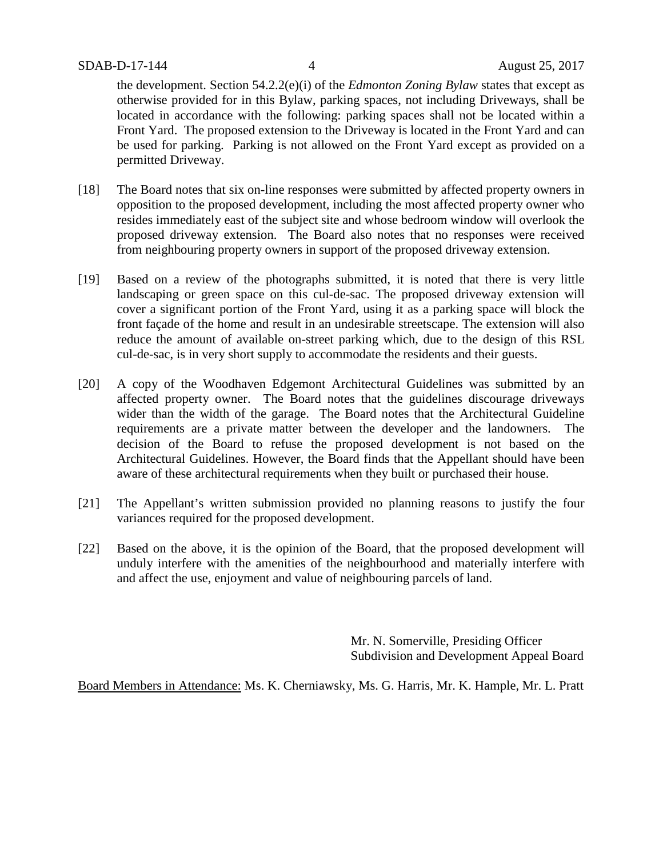the development. Section 54.2.2(e)(i) of the *Edmonton Zoning Bylaw* states that except as otherwise provided for in this Bylaw, parking spaces, not including Driveways, shall be located in accordance with the following: parking spaces shall not be located within a Front Yard. The proposed extension to the Driveway is located in the Front Yard and can be used for parking. Parking is not allowed on the Front Yard except as provided on a permitted Driveway.

- [18] The Board notes that six on-line responses were submitted by affected property owners in opposition to the proposed development, including the most affected property owner who resides immediately east of the subject site and whose bedroom window will overlook the proposed driveway extension. The Board also notes that no responses were received from neighbouring property owners in support of the proposed driveway extension.
- [19] Based on a review of the photographs submitted, it is noted that there is very little landscaping or green space on this cul-de-sac. The proposed driveway extension will cover a significant portion of the Front Yard, using it as a parking space will block the front façade of the home and result in an undesirable streetscape. The extension will also reduce the amount of available on-street parking which, due to the design of this RSL cul-de-sac, is in very short supply to accommodate the residents and their guests.
- [20] A copy of the Woodhaven Edgemont Architectural Guidelines was submitted by an affected property owner. The Board notes that the guidelines discourage driveways wider than the width of the garage. The Board notes that the Architectural Guideline requirements are a private matter between the developer and the landowners. The decision of the Board to refuse the proposed development is not based on the Architectural Guidelines. However, the Board finds that the Appellant should have been aware of these architectural requirements when they built or purchased their house.
- [21] The Appellant's written submission provided no planning reasons to justify the four variances required for the proposed development.
- [22] Based on the above, it is the opinion of the Board, that the proposed development will unduly interfere with the amenities of the neighbourhood and materially interfere with and affect the use, enjoyment and value of neighbouring parcels of land.

Mr. N. Somerville, Presiding Officer Subdivision and Development Appeal Board

Board Members in Attendance: Ms. K. Cherniawsky, Ms. G. Harris, Mr. K. Hample, Mr. L. Pratt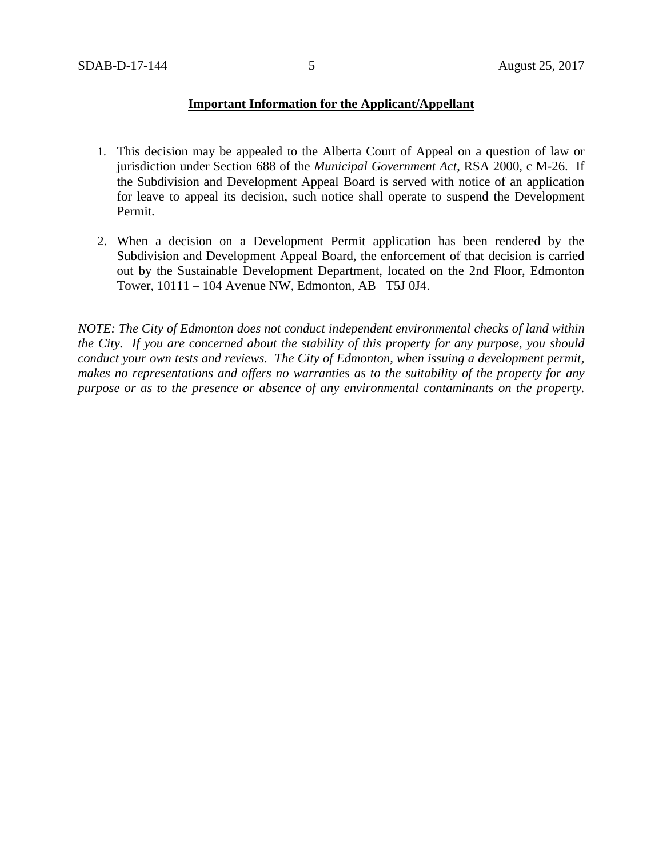### **Important Information for the Applicant/Appellant**

- 1. This decision may be appealed to the Alberta Court of Appeal on a question of law or jurisdiction under Section 688 of the *Municipal Government Act*, RSA 2000, c M-26. If the Subdivision and Development Appeal Board is served with notice of an application for leave to appeal its decision, such notice shall operate to suspend the Development Permit.
- 2. When a decision on a Development Permit application has been rendered by the Subdivision and Development Appeal Board, the enforcement of that decision is carried out by the Sustainable Development Department, located on the 2nd Floor, Edmonton Tower, 10111 – 104 Avenue NW, Edmonton, AB T5J 0J4.

*NOTE: The City of Edmonton does not conduct independent environmental checks of land within the City. If you are concerned about the stability of this property for any purpose, you should conduct your own tests and reviews. The City of Edmonton, when issuing a development permit, makes no representations and offers no warranties as to the suitability of the property for any purpose or as to the presence or absence of any environmental contaminants on the property.*